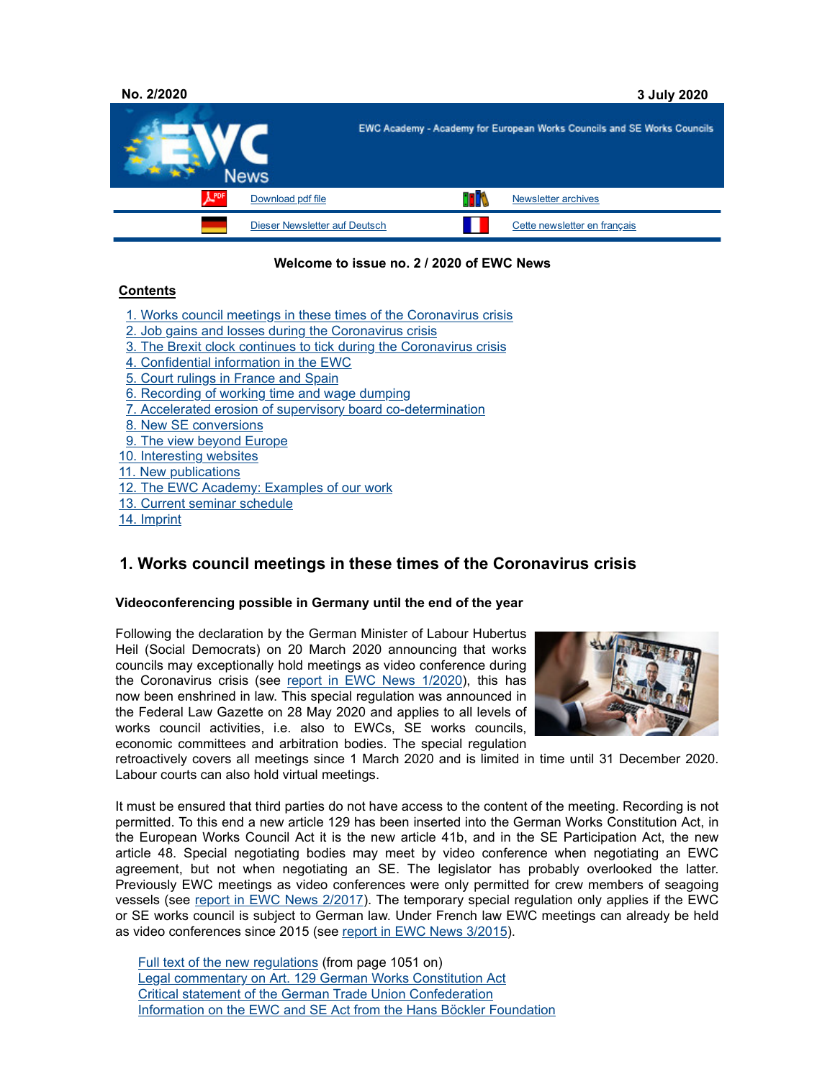

## **Welcome to issue no. 2 / 2020 of EWC News**

## **Contents**

- 1. Works council meetings in these times of the Coronavirus crisis
- 2. Job gains and losses during the Coronavirus crisis
- 3. The Brexit clock continues to tick during the Coronavirus crisis
- 4. Confidential information in the EWC
- 5. Court rulings in France and Spain
- 6. Recording of working time and wage dumping
- 7. Accelerated erosion of supervisory board co-determination
- 8. New SE conversions
- 9. The view beyond Europe
- 10. Interesting websites
- 11. New publications
- 12. The EWC Academy: Examples of our work
- 13. Current seminar schedule
- 14. Imprint

# **1. Works council meetings in these times of the Coronavirus crisis**

## **Videoconferencing possible in Germany until the end of the year**

Following the declaration by the German Minister of Labour Hubertus Heil (Social Democrats) on 20 March 2020 announcing that works councils may exceptionally hold meetings as video conference during the Coronavirus crisis (see report in EWC News 1/2020), this has now been enshrined in law. This special regulation was announced in the Federal Law Gazette on 28 May 2020 and applies to all levels of works council activities, i.e. also to EWCs, SE works councils, economic committees and arbitration bodies. The special regulation



retroactively covers all meetings since 1 March 2020 and is limited in time until 31 December 2020. Labour courts can also hold virtual meetings.

It must be ensured that third parties do not have access to the content of the meeting. Recording is not permitted. To this end a new article 129 has been inserted into the German Works Constitution Act, in the European Works Council Act it is the new article 41b, and in the SE Participation Act, the new article 48. Special negotiating bodies may meet by video conference when negotiating an EWC agreement, but not when negotiating an SE. The legislator has probably overlooked the latter. Previously EWC meetings as video conferences were only permitted for crew members of seagoing vessels (see report in EWC News 2/2017). The temporary special regulation only applies if the EWC or SE works council is subject to German law. Under French law EWC meetings can already be held as video conferences since 2015 (see report in EWC News 3/2015).

Full text of the new regulations (from page 1051 on) Legal commentary on Art. 129 German Works Constitution Act Critical statement of the German Trade Union Confederation Information on the EWC and SE Act from the Hans Böckler Foundation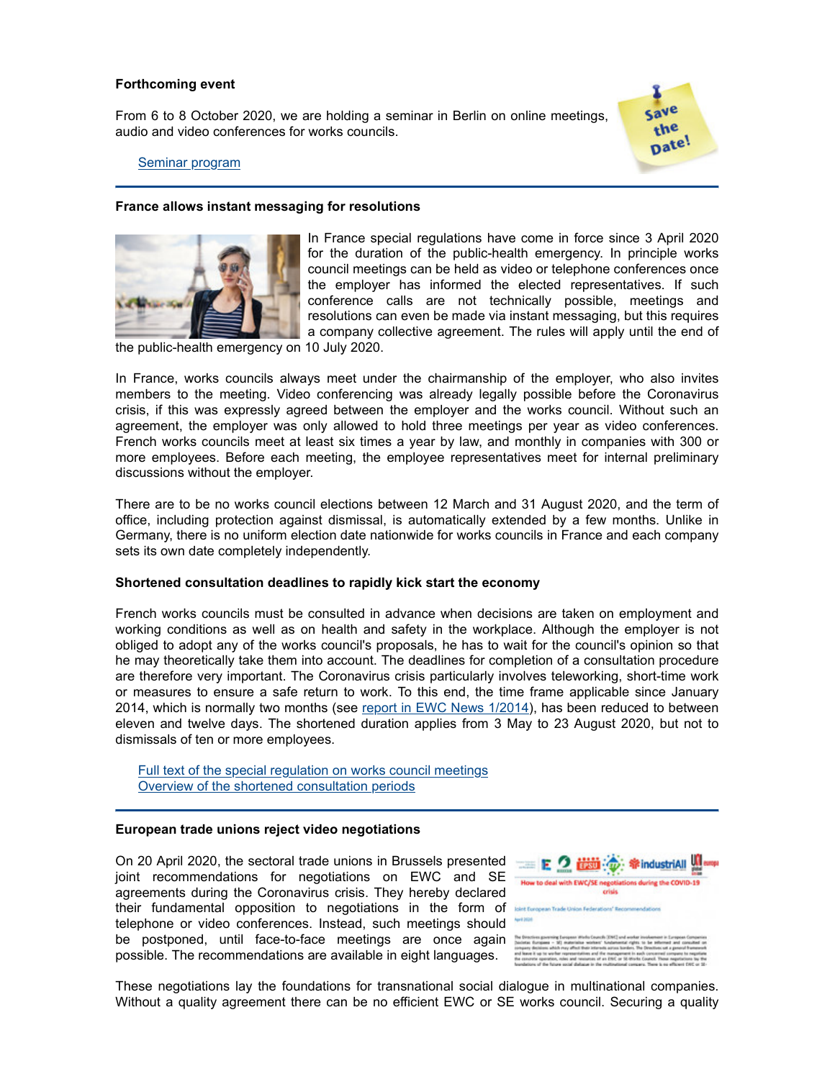### **Forthcoming event**

From 6 to 8 October 2020, we are holding a seminar in Berlin on online meetings, audio and video conferences for works councils.



#### Seminar program

## **France allows instant messaging for resolutions**



In France special regulations have come in force since 3 April 2020 for the duration of the public-health emergency. In principle works council meetings can be held as video or telephone conferences once the employer has informed the elected representatives. If such conference calls are not technically possible, meetings and resolutions can even be made via instant messaging, but this requires a company collective agreement. The rules will apply until the end of

the public-health emergency on 10 July 2020.

In France, works councils always meet under the chairmanship of the employer, who also invites members to the meeting. Video conferencing was already legally possible before the Coronavirus crisis, if this was expressly agreed between the employer and the works council. Without such an agreement, the employer was only allowed to hold three meetings per year as video conferences. French works councils meet at least six times a year by law, and monthly in companies with 300 or more employees. Before each meeting, the employee representatives meet for internal preliminary discussions without the employer.

There are to be no works council elections between 12 March and 31 August 2020, and the term of office, including protection against dismissal, is automatically extended by a few months. Unlike in Germany, there is no uniform election date nationwide for works councils in France and each company sets its own date completely independently.

## **Shortened consultation deadlines to rapidly kick start the economy**

French works councils must be consulted in advance when decisions are taken on employment and working conditions as well as on health and safety in the workplace. Although the employer is not obliged to adopt any of the works council's proposals, he has to wait for the council's opinion so that he may theoretically take them into account. The deadlines for completion of a consultation procedure are therefore very important. The Coronavirus crisis particularly involves teleworking, short-time work or measures to ensure a safe return to work. To this end, the time frame applicable since January 2014, which is normally two months (see report in EWC News 1/2014), has been reduced to between eleven and twelve days. The shortened duration applies from 3 May to 23 August 2020, but not to dismissals of ten or more employees.

Full text of the special regulation on works council meetings Overview of the shortened consultation periods

## **European trade unions reject video negotiations**

On 20 April 2020, the sectoral trade unions in Brussels presented joint recommendations for negotiations on EWC and SE agreements during the Coronavirus crisis. They hereby declared their fundamental opposition to negotiations in the form of telephone or video conferences. Instead, such meetings should be postponed, until face-to-face meetings are once again possible. The recommendations are available in eight languages.



These negotiations lay the foundations for transnational social dialogue in multinational companies. Without a quality agreement there can be no efficient EWC or SE works council. Securing a quality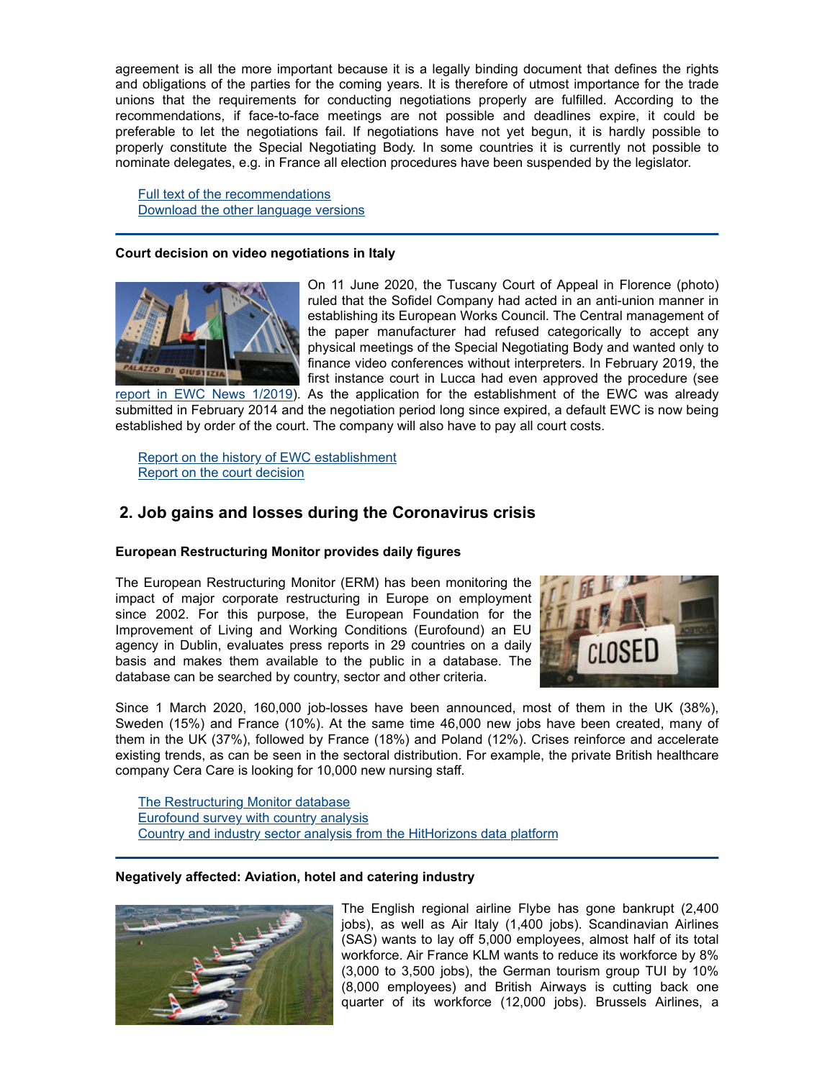agreement is all the more important because it is a legally binding document that defines the rights and obligations of the parties for the coming years. It is therefore of utmost importance for the trade unions that the requirements for conducting negotiations properly are fulfilled. According to the recommendations, if face-to-face meetings are not possible and deadlines expire, it could be preferable to let the negotiations fail. If negotiations have not yet begun, it is hardly possible to properly constitute the Special Negotiating Body. In some countries it is currently not possible to nominate delegates, e.g. in France all election procedures have been suspended by the legislator.

Full text of the recommendations Download the other language versions

### **Court decision on video negotiations in Italy**



On 11 June 2020, the Tuscany Court of Appeal in Florence (photo) ruled that the Sofidel Company had acted in an anti-union manner in establishing its European Works Council. The Central management of the paper manufacturer had refused categorically to accept any physical meetings of the Special Negotiating Body and wanted only to finance video conferences without interpreters. In February 2019, the first instance court in Lucca had even approved the procedure (see

report in EWC News 1/2019). As the application for the establishment of the EWC was already submitted in February 2014 and the negotiation period long since expired, a default EWC is now being established by order of the court. The company will also have to pay all court costs.

Report on the history of EWC establishment Report on the court decision

# **2. Job gains and losses during the Coronavirus crisis**

## **European Restructuring Monitor provides daily figures**

The European Restructuring Monitor (ERM) has been monitoring the impact of major corporate restructuring in Europe on employment since 2002. For this purpose, the European Foundation for the Improvement of Living and Working Conditions (Eurofound) an EU agency in Dublin, evaluates press reports in 29 countries on a daily basis and makes them available to the public in a database. The database can be searched by country, sector and other criteria.



Since 1 March 2020, 160,000 job-losses have been announced, most of them in the UK (38%), Sweden (15%) and France (10%). At the same time 46,000 new jobs have been created, many of them in the UK (37%), followed by France (18%) and Poland (12%). Crises reinforce and accelerate existing trends, as can be seen in the sectoral distribution. For example, the private British healthcare company Cera Care is looking for 10,000 new nursing staff.

The Restructuring Monitor database Eurofound survey with country analysis Country and industry sector analysis from the HitHorizons data platform

## **Negatively affected: Aviation, hotel and catering industry**



The English regional airline Flybe has gone bankrupt (2,400 jobs), as well as Air Italy (1,400 jobs). Scandinavian Airlines (SAS) wants to lay off 5,000 employees, almost half of its total workforce. Air France KLM wants to reduce its workforce by 8% (3,000 to 3,500 jobs), the German tourism group TUI by 10% (8,000 employees) and British Airways is cutting back one quarter of its workforce (12,000 jobs). Brussels Airlines, a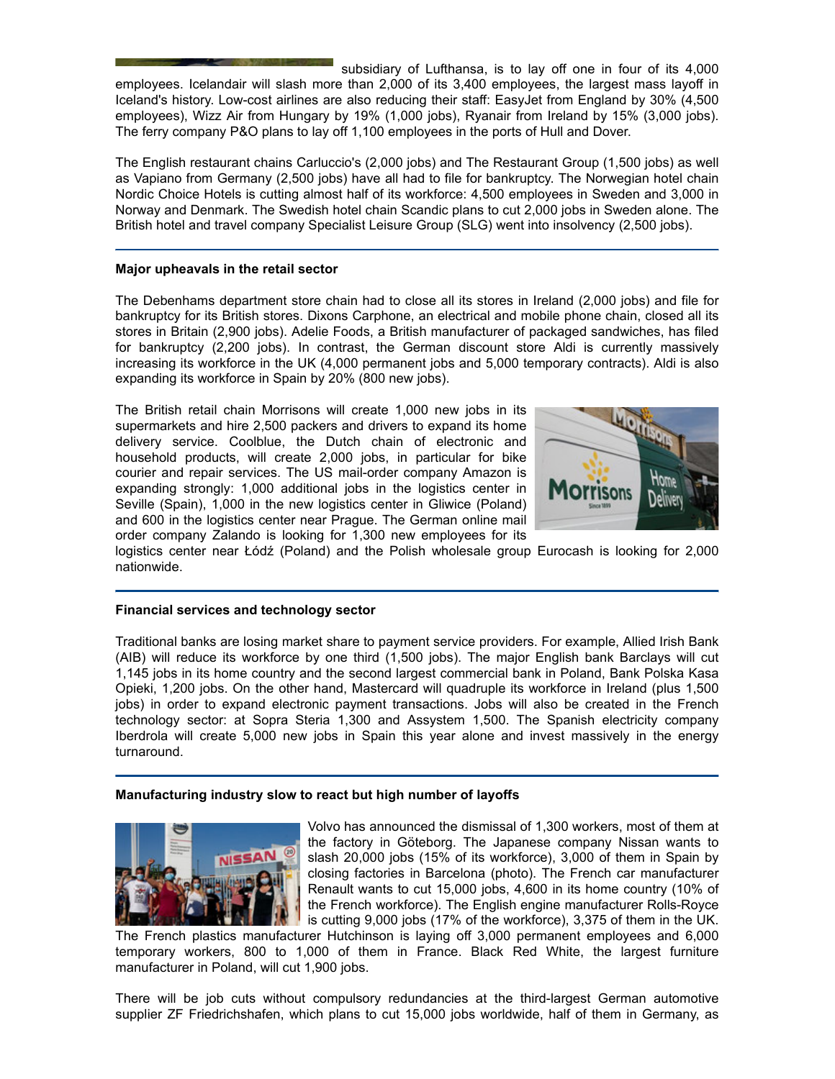subsidiary of Lufthansa, is to lay off one in four of its 4,000 employees. Icelandair will slash more than 2,000 of its 3,400 employees, the largest mass layoff in Iceland's history. Low-cost airlines are also reducing their staff: EasyJet from England by 30% (4,500 employees), Wizz Air from Hungary by 19% (1,000 jobs), Ryanair from Ireland by 15% (3,000 jobs). The ferry company P&O plans to lay off 1,100 employees in the ports of Hull and Dover.

The English restaurant chains Carluccio's (2,000 jobs) and The Restaurant Group (1,500 jobs) as well as Vapiano from Germany (2,500 jobs) have all had to file for bankruptcy. The Norwegian hotel chain Nordic Choice Hotels is cutting almost half of its workforce: 4,500 employees in Sweden and 3,000 in Norway and Denmark. The Swedish hotel chain Scandic plans to cut 2,000 jobs in Sweden alone. The British hotel and travel company Specialist Leisure Group (SLG) went into insolvency (2,500 jobs).

## **Major upheavals in the retail sector**

The Debenhams department store chain had to close all its stores in Ireland (2,000 jobs) and file for bankruptcy for its British stores. Dixons Carphone, an electrical and mobile phone chain, closed all its stores in Britain (2,900 jobs). Adelie Foods, a British manufacturer of packaged sandwiches, has filed for bankruptcy (2,200 jobs). In contrast, the German discount store Aldi is currently massively increasing its workforce in the UK (4,000 permanent jobs and 5,000 temporary contracts). Aldi is also expanding its workforce in Spain by 20% (800 new jobs).

The British retail chain Morrisons will create 1,000 new jobs in its supermarkets and hire 2,500 packers and drivers to expand its home delivery service. Coolblue, the Dutch chain of electronic and household products, will create 2,000 jobs, in particular for bike courier and repair services. The US mail-order company Amazon is expanding strongly: 1,000 additional jobs in the logistics center in Seville (Spain), 1,000 in the new logistics center in Gliwice (Poland) and 600 in the logistics center near Prague. The German online mail order company Zalando is looking for 1,300 new employees for its



logistics center near Łódź (Poland) and the Polish wholesale group Eurocash is looking for 2,000 nationwide.

## **Financial services and technology sector**

Traditional banks are losing market share to payment service providers. For example, Allied Irish Bank (AIB) will reduce its workforce by one third (1,500 jobs). The major English bank Barclays will cut 1,145 jobs in its home country and the second largest commercial bank in Poland, Bank Polska Kasa Opieki, 1,200 jobs. On the other hand, Mastercard will quadruple its workforce in Ireland (plus 1,500 jobs) in order to expand electronic payment transactions. Jobs will also be created in the French technology sector: at Sopra Steria 1,300 and Assystem 1,500. The Spanish electricity company Iberdrola will create 5,000 new jobs in Spain this year alone and invest massively in the energy turnaround.

## **Manufacturing industry slow to react but high number of layoffs**



Volvo has announced the dismissal of 1,300 workers, most of them at the factory in Göteborg. The Japanese company Nissan wants to slash 20,000 jobs (15% of its workforce), 3,000 of them in Spain by closing factories in Barcelona (photo). The French car manufacturer Renault wants to cut 15,000 jobs, 4,600 in its home country (10% of the French workforce). The English engine manufacturer Rolls-Royce is cutting 9,000 jobs (17% of the workforce), 3,375 of them in the UK.

The French plastics manufacturer Hutchinson is laying off 3,000 permanent employees and 6,000 temporary workers, 800 to 1,000 of them in France. Black Red White, the largest furniture manufacturer in Poland, will cut 1,900 jobs.

There will be job cuts without compulsory redundancies at the third-largest German automotive supplier ZF Friedrichshafen, which plans to cut 15,000 jobs worldwide, half of them in Germany, as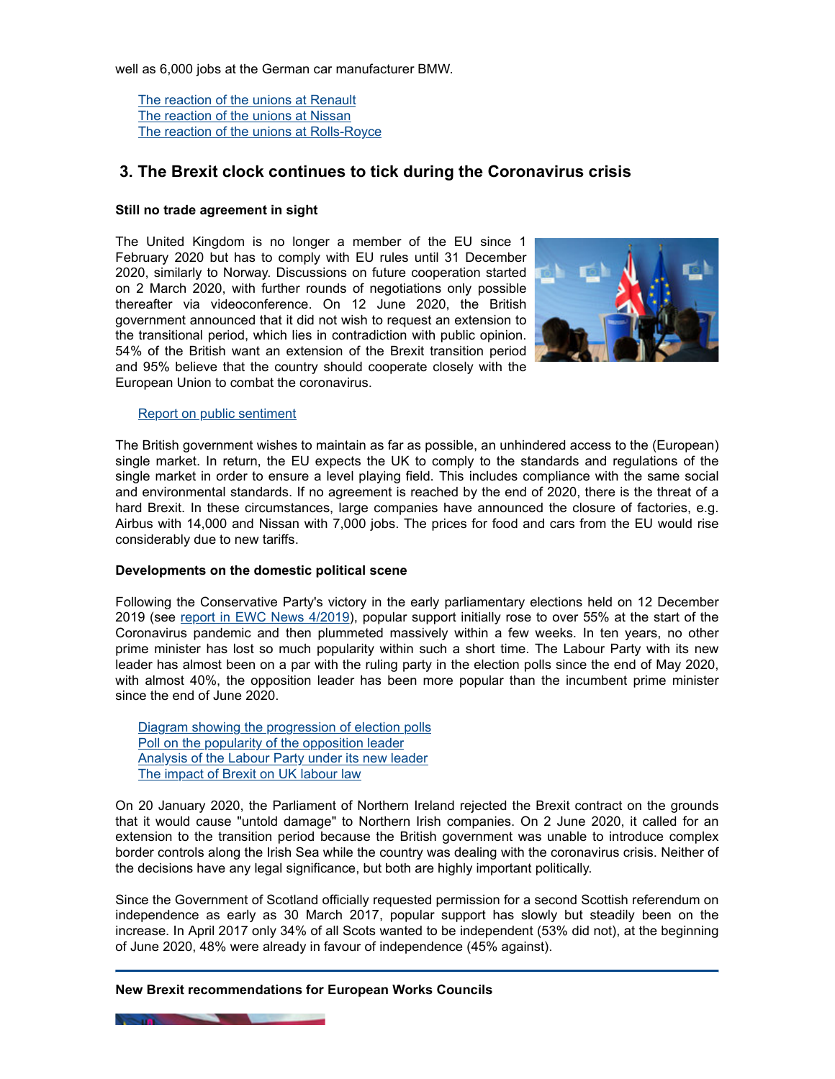well as 6,000 jobs at the German car manufacturer BMW.

The reaction of the unions at Renault The reaction of the unions at Nissan The reaction of the unions at Rolls-Royce

# **3. The Brexit clock continues to tick during the Coronavirus crisis**

## **Still no trade agreement in sight**

The United Kingdom is no longer a member of the EU since 1 February 2020 but has to comply with EU rules until 31 December 2020, similarly to Norway. Discussions on future cooperation started on 2 March 2020, with further rounds of negotiations only possible thereafter via videoconference. On 12 June 2020, the British government announced that it did not wish to request an extension to the transitional period, which lies in contradiction with public opinion. 54% of the British want an extension of the Brexit transition period and 95% believe that the country should cooperate closely with the European Union to combat the coronavirus.



### Report on public sentiment

The British government wishes to maintain as far as possible, an unhindered access to the (European) single market. In return, the EU expects the UK to comply to the standards and regulations of the single market in order to ensure a level playing field. This includes compliance with the same social and environmental standards. If no agreement is reached by the end of 2020, there is the threat of a hard Brexit. In these circumstances, large companies have announced the closure of factories, e.g. Airbus with 14,000 and Nissan with 7,000 jobs. The prices for food and cars from the EU would rise considerably due to new tariffs.

## **Developments on the domestic political scene**

Following the Conservative Party's victory in the early parliamentary elections held on 12 December 2019 (see report in EWC News 4/2019), popular support initially rose to over 55% at the start of the Coronavirus pandemic and then plummeted massively within a few weeks. In ten years, no other prime minister has lost so much popularity within such a short time. The Labour Party with its new leader has almost been on a par with the ruling party in the election polls since the end of May 2020, with almost 40%, the opposition leader has been more popular than the incumbent prime minister since the end of June 2020.

Diagram showing the progression of election polls Poll on the popularity of the opposition leader Analysis of the Labour Party under its new leader The impact of Brexit on UK labour law

On 20 January 2020, the Parliament of Northern Ireland rejected the Brexit contract on the grounds that it would cause "untold damage" to Northern Irish companies. On 2 June 2020, it called for an extension to the transition period because the British government was unable to introduce complex border controls along the Irish Sea while the country was dealing with the coronavirus crisis. Neither of the decisions have any legal significance, but both are highly important politically.

Since the Government of Scotland officially requested permission for a second Scottish referendum on independence as early as 30 March 2017, popular support has slowly but steadily been on the increase. In April 2017 only 34% of all Scots wanted to be independent (53% did not), at the beginning of June 2020, 48% were already in favour of independence (45% against).

### **New Brexit recommendations for European Works Councils**

**CONTRACTOR**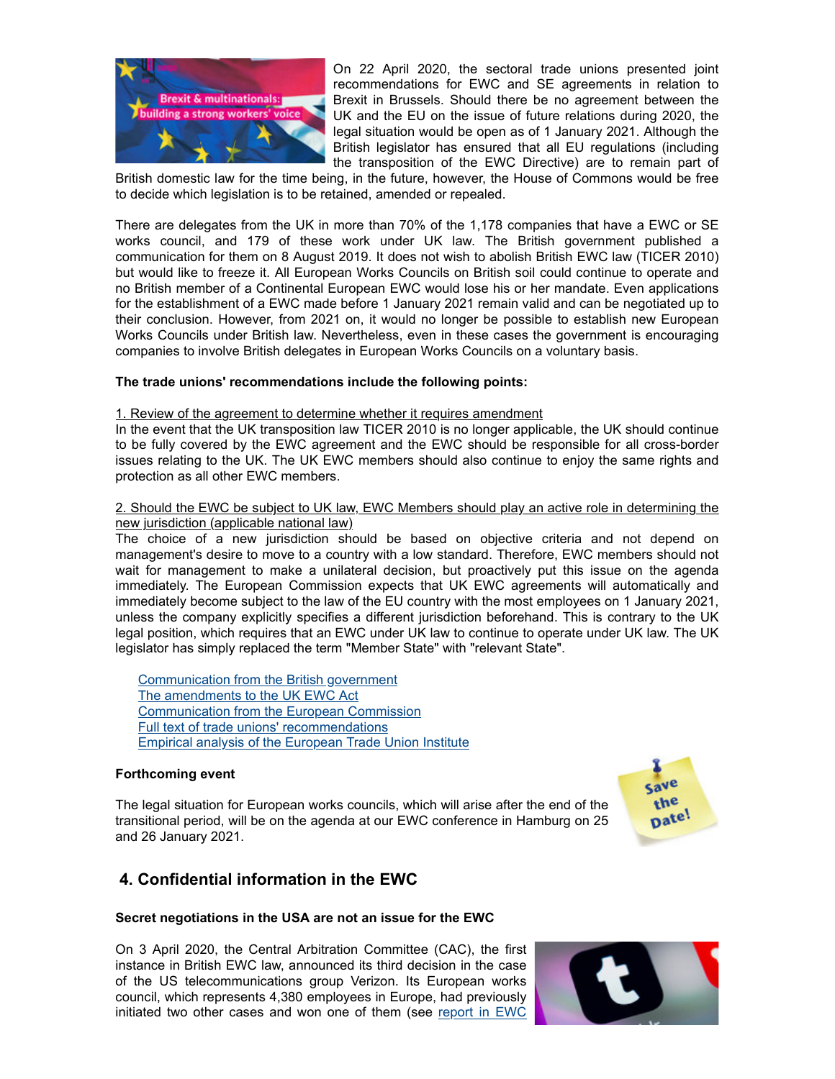

On 22 April 2020, the sectoral trade unions presented joint recommendations for EWC and SE agreements in relation to Brexit in Brussels. Should there be no agreement between the UK and the EU on the issue of future relations during 2020, the legal situation would be open as of 1 January 2021. Although the British legislator has ensured that all EU regulations (including the transposition of the EWC Directive) are to remain part of

British domestic law for the time being, in the future, however, the House of Commons would be free to decide which legislation is to be retained, amended or repealed.

There are delegates from the UK in more than 70% of the 1,178 companies that have a EWC or SE works council, and 179 of these work under UK law. The British government published a communication for them on 8 August 2019. It does not wish to abolish British EWC law (TICER 2010) but would like to freeze it. All European Works Councils on British soil could continue to operate and no British member of a Continental European EWC would lose his or her mandate. Even applications for the establishment of a EWC made before 1 January 2021 remain valid and can be negotiated up to their conclusion. However, from 2021 on, it would no longer be possible to establish new European Works Councils under British law. Nevertheless, even in these cases the government is encouraging companies to involve British delegates in European Works Councils on a voluntary basis.

## **The trade unions' recommendations include the following points:**

### 1. Review of the agreement to determine whether it requires amendment

In the event that the UK transposition law TICER 2010 is no longer applicable, the UK should continue to be fully covered by the EWC agreement and the EWC should be responsible for all cross-border issues relating to the UK. The UK EWC members should also continue to enjoy the same rights and protection as all other EWC members.

## 2. Should the EWC be subject to UK law, EWC Members should play an active role in determining the new jurisdiction (applicable national law)

The choice of a new jurisdiction should be based on objective criteria and not depend on management's desire to move to a country with a low standard. Therefore, EWC members should not wait for management to make a unilateral decision, but proactively put this issue on the agenda immediately. The European Commission expects that UK EWC agreements will automatically and immediately become subject to the law of the EU country with the most employees on 1 January 2021, unless the company explicitly specifies a different jurisdiction beforehand. This is contrary to the UK legal position, which requires that an EWC under UK law to continue to operate under UK law. The UK legislator has simply replaced the term "Member State" with "relevant State".

Communication from the British government The amendments to the UK EWC Act Communication from the European Commission Full text of trade unions' recommendations Empirical analysis of the European Trade Union Institute

## **Forthcoming event**

The legal situation for European works councils, which will arise after the end of the transitional period, will be on the agenda at our EWC conference in Hamburg on 25 and 26 January 2021.



# **4. Confidential information in the EWC**

### **Secret negotiations in the USA are not an issue for the EWC**

On 3 April 2020, the Central Arbitration Committee (CAC), the first instance in British EWC law, announced its third decision in the case of the US telecommunications group Verizon. Its European works council, which represents 4,380 employees in Europe, had previously initiated two other cases and won one of them (see report in EWC

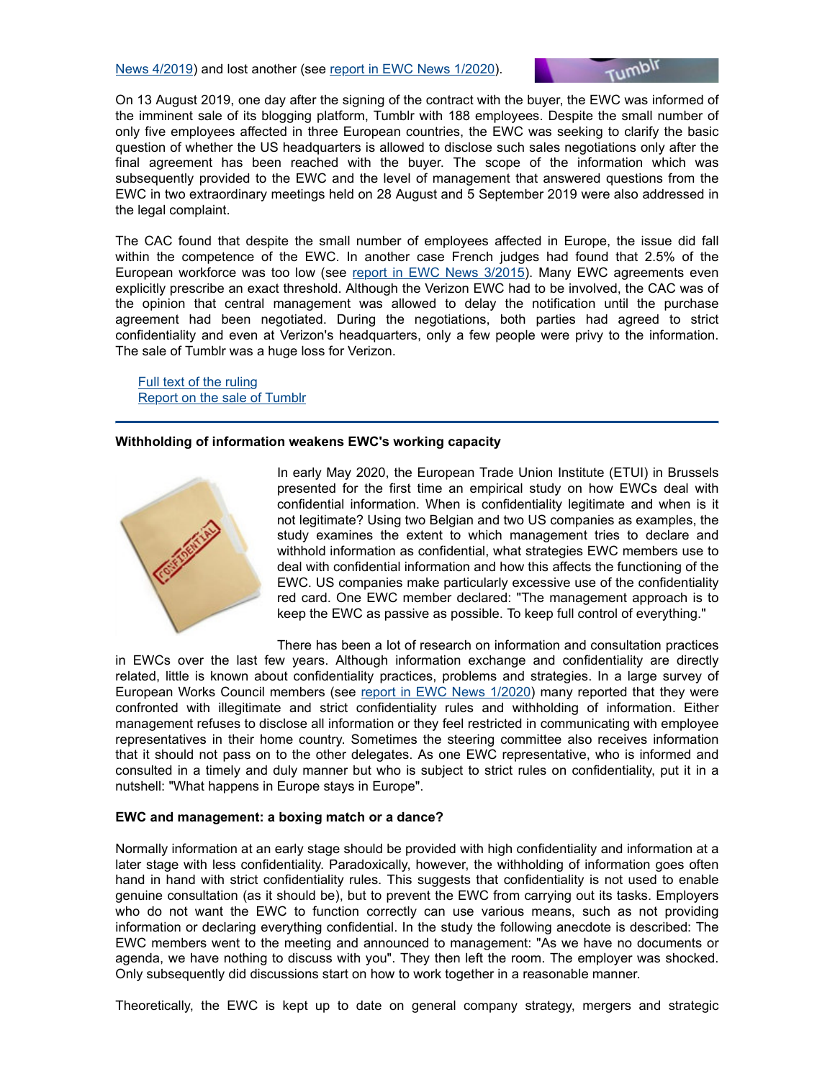

On 13 August 2019, one day after the signing of the contract with the buyer, the EWC was informed of the imminent sale of its blogging platform, Tumblr with 188 employees. Despite the small number of only five employees affected in three European countries, the EWC was seeking to clarify the basic question of whether the US headquarters is allowed to disclose such sales negotiations only after the final agreement has been reached with the buyer. The scope of the information which was subsequently provided to the EWC and the level of management that answered questions from the EWC in two extraordinary meetings held on 28 August and 5 September 2019 were also addressed in the legal complaint.

The CAC found that despite the small number of employees affected in Europe, the issue did fall within the competence of the EWC. In another case French judges had found that 2.5% of the European workforce was too low (see report in EWC News 3/2015). Many EWC agreements even explicitly prescribe an exact threshold. Although the Verizon EWC had to be involved, the CAC was of the opinion that central management was allowed to delay the notification until the purchase agreement had been negotiated. During the negotiations, both parties had agreed to strict confidentiality and even at Verizon's headquarters, only a few people were privy to the information. The sale of Tumblr was a huge loss for Verizon.

**Full text of the ruling** Report on the sale of Tumblr

### **Withholding of information weakens EWC's working capacity**



In early May 2020, the European Trade Union Institute (ETUI) in Brussels presented for the first time an empirical study on how EWCs deal with confidential information. When is confidentiality legitimate and when is it not legitimate? Using two Belgian and two US companies as examples, the study examines the extent to which management tries to declare and withhold information as confidential, what strategies EWC members use to deal with confidential information and how this affects the functioning of the EWC. US companies make particularly excessive use of the confidentiality red card. One EWC member declared: "The management approach is to keep the EWC as passive as possible. To keep full control of everything."

There has been a lot of research on information and consultation practices

in EWCs over the last few years. Although information exchange and confidentiality are directly related, little is known about confidentiality practices, problems and strategies. In a large survey of European Works Council members (see report in EWC News 1/2020) many reported that they were confronted with illegitimate and strict confidentiality rules and withholding of information. Either management refuses to disclose all information or they feel restricted in communicating with employee representatives in their home country. Sometimes the steering committee also receives information that it should not pass on to the other delegates. As one EWC representative, who is informed and consulted in a timely and duly manner but who is subject to strict rules on confidentiality, put it in a nutshell: "What happens in Europe stays in Europe".

### **EWC and management: a boxing match or a dance?**

Normally information at an early stage should be provided with high confidentiality and information at a later stage with less confidentiality. Paradoxically, however, the withholding of information goes often hand in hand with strict confidentiality rules. This suggests that confidentiality is not used to enable genuine consultation (as it should be), but to prevent the EWC from carrying out its tasks. Employers who do not want the EWC to function correctly can use various means, such as not providing information or declaring everything confidential. In the study the following anecdote is described: The EWC members went to the meeting and announced to management: "As we have no documents or agenda, we have nothing to discuss with you". They then left the room. The employer was shocked. Only subsequently did discussions start on how to work together in a reasonable manner.

Theoretically, the EWC is kept up to date on general company strategy, mergers and strategic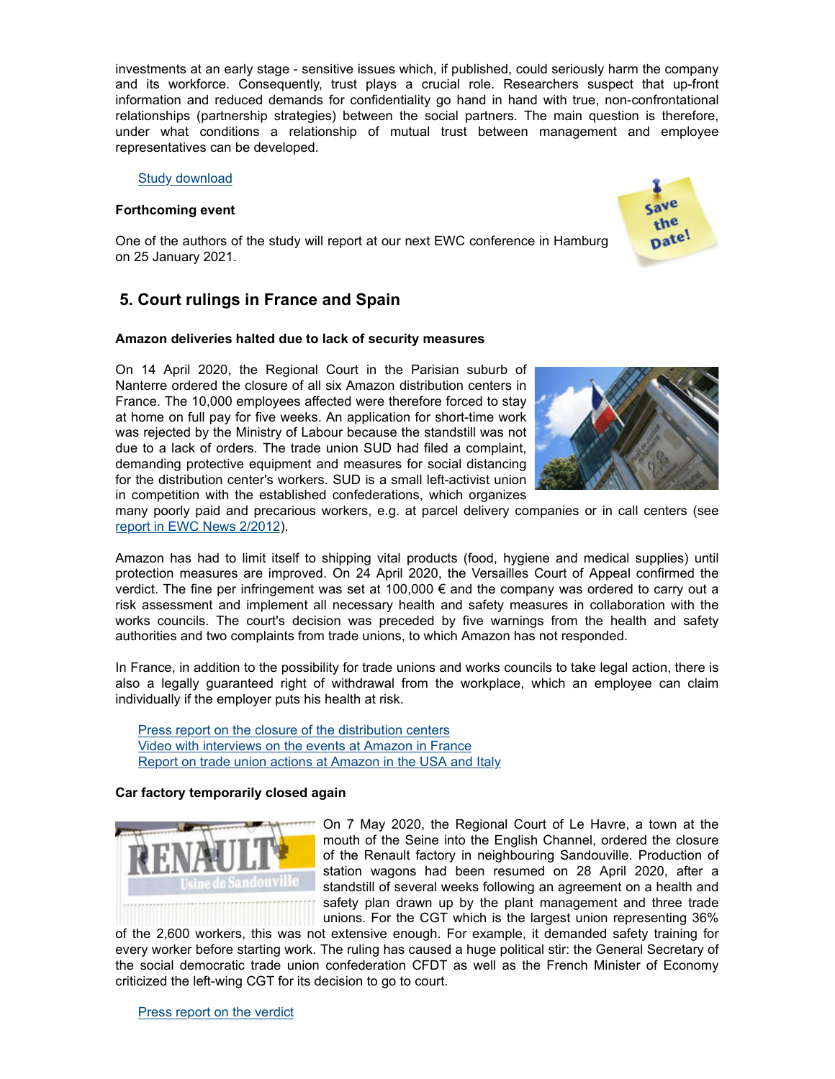investments at an early stage - sensitive issues which, if published, could seriously harm the company and its workforce. Consequently, trust plays a crucial role. Researchers suspect that up-front information and reduced demands for confidentiality go hand in hand with true, non-confrontational relationships (partnership strategies) between the social partners. The main question is therefore, under what conditions a relationship of mutual trust between management and employee representatives can be developed.

Study download

## **Forthcoming event**



One of the authors of the study will report at our next EWC conference in Hamburg on 25 January 2021.

# **5. Court rulings in France and Spain**

## **Amazon deliveries halted due to lack of security measures**

On 14 April 2020, the Regional Court in the Parisian suburb of Nanterre ordered the closure of all six Amazon distribution centers in France. The 10,000 employees affected were therefore forced to stay at home on full pay for five weeks. An application for short-time work was rejected by the Ministry of Labour because the standstill was not due to a lack of orders. The trade union SUD had filed a complaint, demanding protective equipment and measures for social distancing for the distribution center's workers. SUD is a small left-activist union in competition with the established confederations, which organizes



many poorly paid and precarious workers, e.g. at parcel delivery companies or in call centers (see report in EWC News 2/2012).

Amazon has had to limit itself to shipping vital products (food, hygiene and medical supplies) until protection measures are improved. On 24 April 2020, the Versailles Court of Appeal confirmed the verdict. The fine per infringement was set at 100,000 € and the company was ordered to carry out a risk assessment and implement all necessary health and safety measures in collaboration with the works councils. The court's decision was preceded by five warnings from the health and safety authorities and two complaints from trade unions, to which Amazon has not responded.

In France, in addition to the possibility for trade unions and works councils to take legal action, there is also a legally guaranteed right of withdrawal from the workplace, which an employee can claim individually if the employer puts his health at risk.

Press report on the closure of the distribution centers Video with interviews on the events at Amazon in France Report on trade union actions at Amazon in the USA and Italy

## **Car factory temporarily closed again**



On 7 May 2020, the Regional Court of Le Havre, a town at the mouth of the Seine into the English Channel, ordered the closure of the Renault factory in neighbouring Sandouville. Production of station wagons had been resumed on 28 April 2020, after a standstill of several weeks following an agreement on a health and safety plan drawn up by the plant management and three trade unions. For the CGT which is the largest union representing 36%

of the 2,600 workers, this was not extensive enough. For example, it demanded safety training for every worker before starting work. The ruling has caused a huge political stir: the General Secretary of the social democratic trade union confederation CFDT as well as the French Minister of Economy criticized the left-wing CGT for its decision to go to court.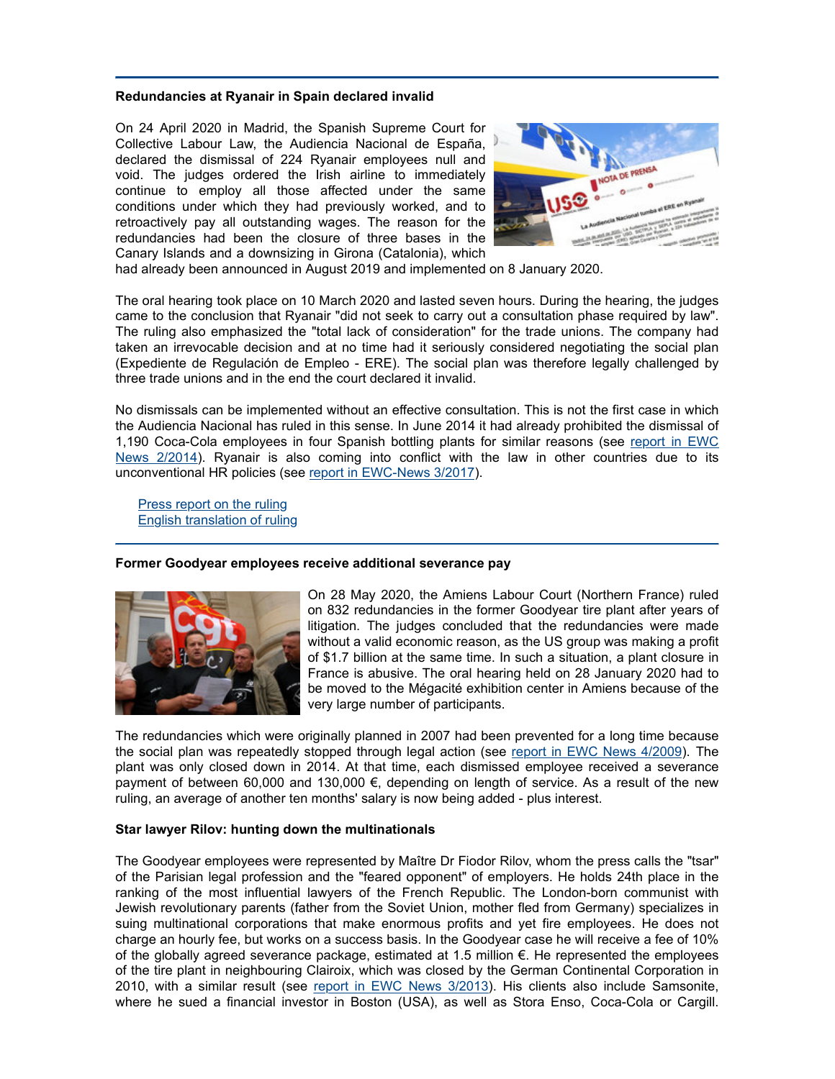### **Redundancies at Ryanair in Spain declared invalid**

On 24 April 2020 in Madrid, the Spanish Supreme Court for Collective Labour Law, the Audiencia Nacional de España, declared the dismissal of 224 Ryanair employees null and void. The judges ordered the Irish airline to immediately continue to employ all those affected under the same conditions under which they had previously worked, and to retroactively pay all outstanding wages. The reason for the redundancies had been the closure of three bases in the Canary Islands and a downsizing in Girona (Catalonia), which



had already been announced in August 2019 and implemented on 8 January 2020.

The oral hearing took place on 10 March 2020 and lasted seven hours. During the hearing, the judges came to the conclusion that Ryanair "did not seek to carry out a consultation phase required by law". The ruling also emphasized the "total lack of consideration" for the trade unions. The company had taken an irrevocable decision and at no time had it seriously considered negotiating the social plan (Expediente de Regulación de Empleo - ERE). The social plan was therefore legally challenged by three trade unions and in the end the court declared it invalid.

No dismissals can be implemented without an effective consultation. This is not the first case in which the Audiencia Nacional has ruled in this sense. In June 2014 it had already prohibited the dismissal of 1,190 Coca-Cola employees in four Spanish bottling plants for similar reasons (see report in EWC News 2/2014). Ryanair is also coming into conflict with the law in other countries due to its unconventional HR policies (see report in EWC-News 3/2017).

Press report on the ruling English translation of ruling

## **Former Goodyear employees receive additional severance pay**



On 28 May 2020, the Amiens Labour Court (Northern France) ruled on 832 redundancies in the former Goodyear tire plant after years of litigation. The judges concluded that the redundancies were made without a valid economic reason, as the US group was making a profit of \$1.7 billion at the same time. In such a situation, a plant closure in France is abusive. The oral hearing held on 28 January 2020 had to be moved to the Mégacité exhibition center in Amiens because of the very large number of participants.

The redundancies which were originally planned in 2007 had been prevented for a long time because the social plan was repeatedly stopped through legal action (see report in EWC News 4/2009). The plant was only closed down in 2014. At that time, each dismissed employee received a severance payment of between 60,000 and 130,000 €, depending on length of service. As a result of the new ruling, an average of another ten months' salary is now being added - plus interest.

### **Star lawyer Rilov: hunting down the multinationals**

The Goodyear employees were represented by Maître Dr Fiodor Rilov, whom the press calls the "tsar" of the Parisian legal profession and the "feared opponent" of employers. He holds 24th place in the ranking of the most influential lawyers of the French Republic. The London-born communist with Jewish revolutionary parents (father from the Soviet Union, mother fled from Germany) specializes in suing multinational corporations that make enormous profits and yet fire employees. He does not charge an hourly fee, but works on a success basis. In the Goodyear case he will receive a fee of 10% of the globally agreed severance package, estimated at 1.5 million €. He represented the employees of the tire plant in neighbouring Clairoix, which was closed by the German Continental Corporation in 2010, with a similar result (see report in EWC News 3/2013). His clients also include Samsonite, where he sued a financial investor in Boston (USA), as well as Stora Enso, Coca-Cola or Cargill.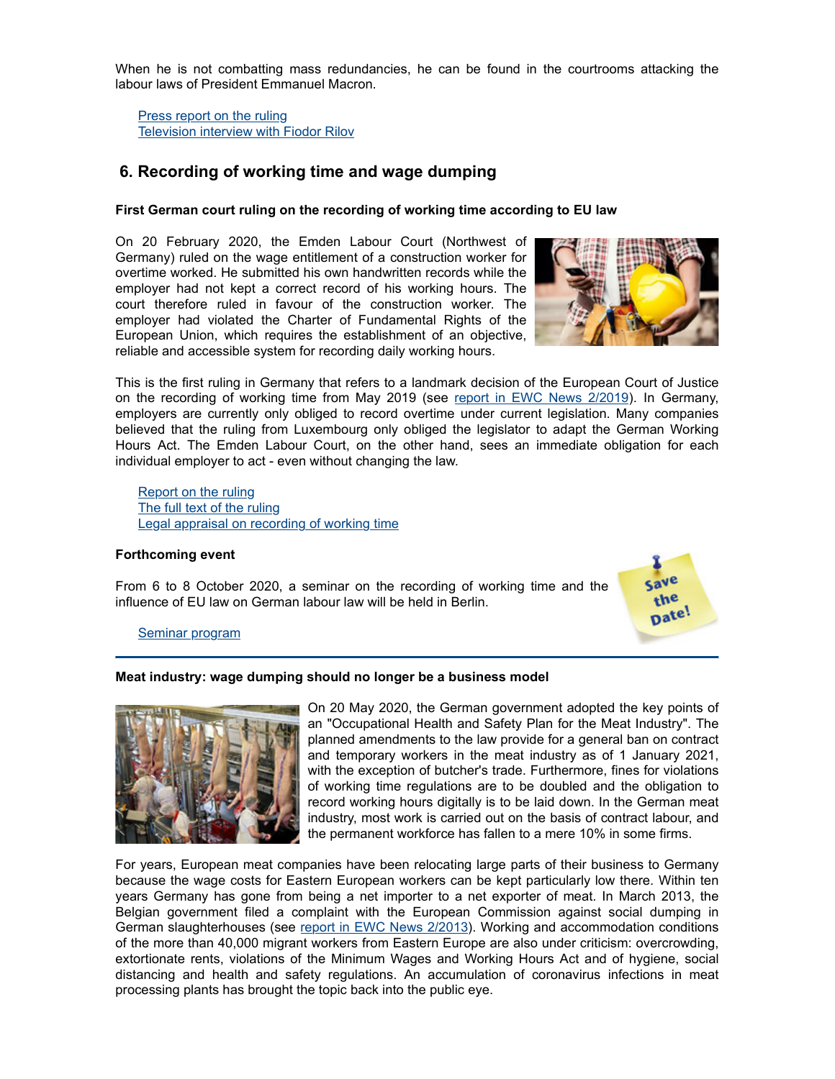When he is not combatting mass redundancies, he can be found in the courtrooms attacking the labour laws of President Emmanuel Macron.

Press report on the ruling Television interview with Fiodor Rilov

# **6. Recording of working time and wage dumping**

## **First German court ruling on the recording of working time according to EU law**

On 20 February 2020, the Emden Labour Court (Northwest of Germany) ruled on the wage entitlement of a construction worker for overtime worked. He submitted his own handwritten records while the employer had not kept a correct record of his working hours. The court therefore ruled in favour of the construction worker. The employer had violated the Charter of Fundamental Rights of the European Union, which requires the establishment of an objective, reliable and accessible system for recording daily working hours.



This is the first ruling in Germany that refers to a landmark decision of the European Court of Justice on the recording of working time from May 2019 (see report in EWC News 2/2019). In Germany, employers are currently only obliged to record overtime under current legislation. Many companies believed that the ruling from Luxembourg only obliged the legislator to adapt the German Working Hours Act. The Emden Labour Court, on the other hand, sees an immediate obligation for each individual employer to act - even without changing the law.

Report on the ruling The full text of the ruling Legal appraisal on recording of working time

### **Forthcoming event**

From 6 to 8 October 2020, a seminar on the recording of working time and the influence of EU law on German labour law will be held in Berlin.



### Seminar program

### **Meat industry: wage dumping should no longer be a business model**



On 20 May 2020, the German government adopted the key points of an "Occupational Health and Safety Plan for the Meat Industry". The planned amendments to the law provide for a general ban on contract and temporary workers in the meat industry as of 1 January 2021, with the exception of butcher's trade. Furthermore, fines for violations of working time regulations are to be doubled and the obligation to record working hours digitally is to be laid down. In the German meat industry, most work is carried out on the basis of contract labour, and the permanent workforce has fallen to a mere 10% in some firms.

For years, European meat companies have been relocating large parts of their business to Germany because the wage costs for Eastern European workers can be kept particularly low there. Within ten years Germany has gone from being a net importer to a net exporter of meat. In March 2013, the Belgian government filed a complaint with the European Commission against social dumping in German slaughterhouses (see report in EWC News 2/2013). Working and accommodation conditions of the more than 40,000 migrant workers from Eastern Europe are also under criticism: overcrowding, extortionate rents, violations of the Minimum Wages and Working Hours Act and of hygiene, social distancing and health and safety regulations. An accumulation of coronavirus infections in meat processing plants has brought the topic back into the public eye.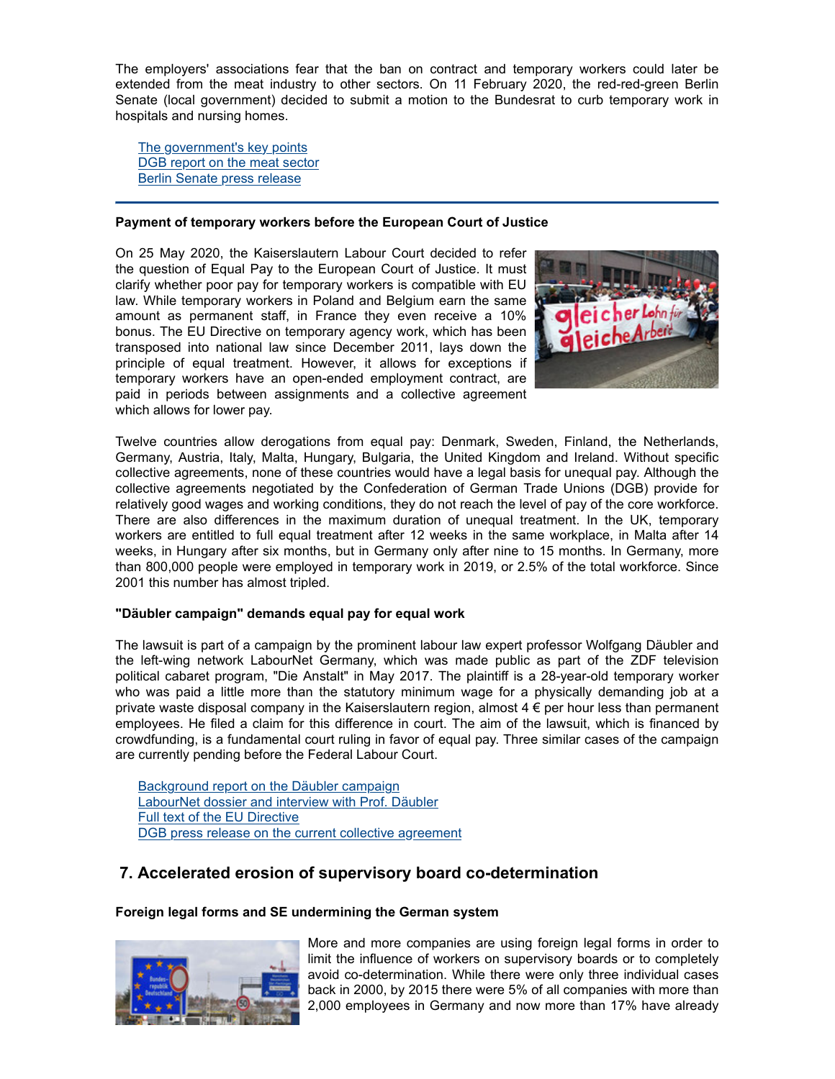The employers' associations fear that the ban on contract and temporary workers could later be extended from the meat industry to other sectors. On 11 February 2020, the red-red-green Berlin Senate (local government) decided to submit a motion to the Bundesrat to curb temporary work in hospitals and nursing homes.

The government's key points DGB report on the meat sector Berlin Senate press release

## **Payment of temporary workers before the European Court of Justice**

On 25 May 2020, the Kaiserslautern Labour Court decided to refer the question of Equal Pay to the European Court of Justice. It must clarify whether poor pay for temporary workers is compatible with EU law. While temporary workers in Poland and Belgium earn the same amount as permanent staff, in France they even receive a 10% bonus. The EU Directive on temporary agency work, which has been transposed into national law since December 2011, lays down the principle of equal treatment. However, it allows for exceptions if temporary workers have an open-ended employment contract, are paid in periods between assignments and a collective agreement which allows for lower pay.



Twelve countries allow derogations from equal pay: Denmark, Sweden, Finland, the Netherlands, Germany, Austria, Italy, Malta, Hungary, Bulgaria, the United Kingdom and Ireland. Without specific collective agreements, none of these countries would have a legal basis for unequal pay. Although the collective agreements negotiated by the Confederation of German Trade Unions (DGB) provide for relatively good wages and working conditions, they do not reach the level of pay of the core workforce. There are also differences in the maximum duration of unequal treatment. In the UK, temporary workers are entitled to full equal treatment after 12 weeks in the same workplace, in Malta after 14 weeks, in Hungary after six months, but in Germany only after nine to 15 months. In Germany, more than 800,000 people were employed in temporary work in 2019, or 2.5% of the total workforce. Since 2001 this number has almost tripled.

## **"Däubler campaign" demands equal pay for equal work**

The lawsuit is part of a campaign by the prominent labour law expert professor Wolfgang Däubler and the left-wing network LabourNet Germany, which was made public as part of the ZDF television political cabaret program, "Die Anstalt" in May 2017. The plaintiff is a 28-year-old temporary worker who was paid a little more than the statutory minimum wage for a physically demanding job at a private waste disposal company in the Kaiserslautern region, almost  $4 \in \mathsf{per}$  hour less than permanent employees. He filed a claim for this difference in court. The aim of the lawsuit, which is financed by crowdfunding, is a fundamental court ruling in favor of equal pay. Three similar cases of the campaign are currently pending before the Federal Labour Court.

Background report on the Däubler campaign LabourNet dossier and interview with Prof. Däubler Full text of the EU Directive DGB press release on the current collective agreement

# **7. Accelerated erosion of supervisory board co-determination**

## **Foreign legal forms and SE undermining the German system**



More and more companies are using foreign legal forms in order to limit the influence of workers on supervisory boards or to completely avoid co-determination. While there were only three individual cases back in 2000, by 2015 there were 5% of all companies with more than 2,000 employees in Germany and now more than 17% have already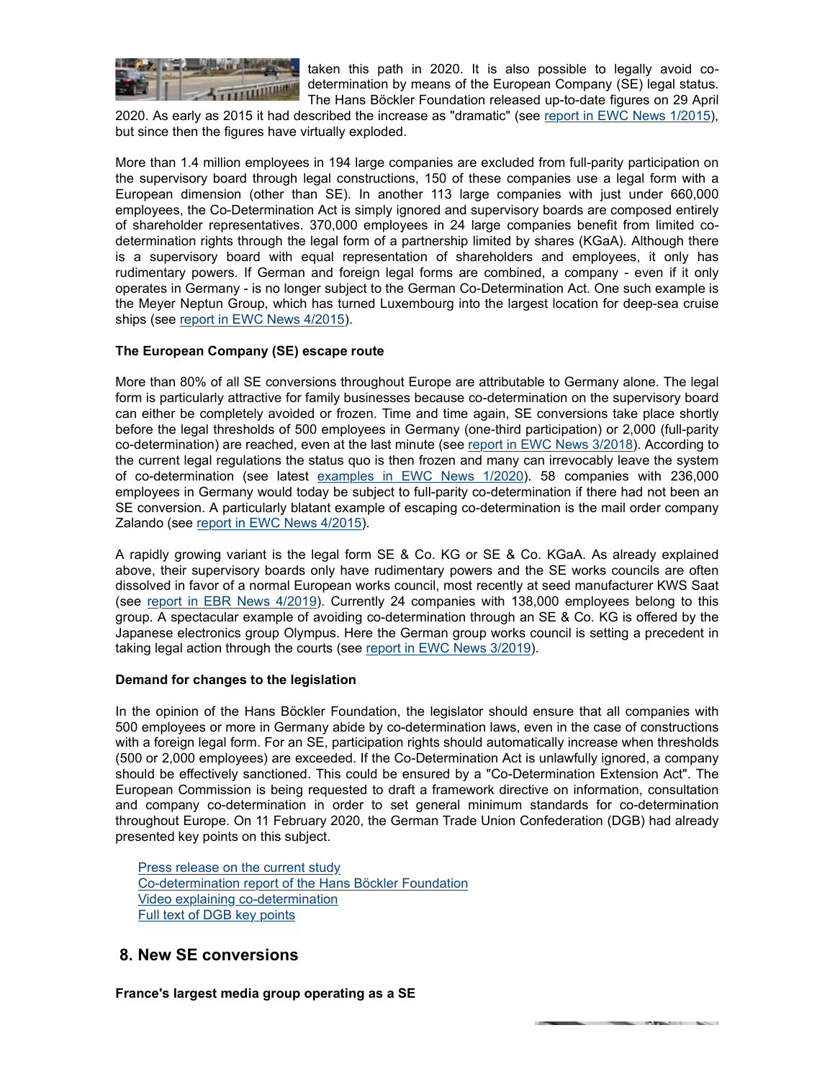

taken this path in 2020. It is also possible to legally avoid codetermination by means of the European Company (SE) legal status. The Hans Böckler Foundation released up-to-date figures on 29 April

2020. As early as 2015 it had described the increase as "dramatic" (see report in EWC News 1/2015), but since then the figures have virtually exploded.

More than 1.4 million employees in 194 large companies are excluded from full-parity participation on the supervisory board through legal constructions, 150 of these companies use a legal form with a European dimension (other than SE). In another 113 large companies with just under 660,000 employees, the Co-Determination Act is simply ignored and supervisory boards are composed entirely of shareholder representatives. 370,000 employees in 24 large companies benefit from limited codetermination rights through the legal form of a partnership limited by shares (KGaA). Although there is a supervisory board with equal representation of shareholders and employees, it only has rudimentary powers. If German and foreign legal forms are combined, a company - even if it only operates in Germany - is no longer subject to the German Co-Determination Act. One such example is the Meyer Neptun Group, which has turned Luxembourg into the largest location for deep-sea cruise ships (see report in EWC News 4/2015).

## **The European Company (SE) escape route**

More than 80% of all SE conversions throughout Europe are attributable to Germany alone. The legal form is particularly attractive for family businesses because co-determination on the supervisory board can either be completely avoided or frozen. Time and time again, SE conversions take place shortly before the legal thresholds of 500 employees in Germany (one-third participation) or 2,000 (full-parity co-determination) are reached, even at the last minute (see report in EWC News 3/2018). According to the current legal regulations the status quo is then frozen and many can irrevocably leave the system of co-determination (see latest examples in EWC News 1/2020). 58 companies with 236,000 employees in Germany would today be subject to full-parity co-determination if there had not been an SE conversion. A particularly blatant example of escaping co-determination is the mail order company Zalando (see report in EWC News 4/2015).

A rapidly growing variant is the legal form SE & Co. KG or SE & Co. KGaA. As already explained above, their supervisory boards only have rudimentary powers and the SE works councils are often dissolved in favor of a normal European works council, most recently at seed manufacturer KWS Saat (see report in EBR News 4/2019). Currently 24 companies with 138,000 employees belong to this group. A spectacular example of avoiding co-determination through an SE & Co. KG is offered by the Japanese electronics group Olympus. Here the German group works council is setting a precedent in taking legal action through the courts (see report in EWC News 3/2019).

### **Demand for changes to the legislation**

In the opinion of the Hans Böckler Foundation, the legislator should ensure that all companies with 500 employees or more in Germany abide by co-determination laws, even in the case of constructions with a foreign legal form. For an SE, participation rights should automatically increase when thresholds (500 or 2,000 employees) are exceeded. If the Co-Determination Act is unlawfully ignored, a company should be effectively sanctioned. This could be ensured by a "Co-Determination Extension Act". The European Commission is being requested to draft a framework directive on information, consultation and company co-determination in order to set general minimum standards for co-determination throughout Europe. On 11 February 2020, the German Trade Union Confederation (DGB) had already presented key points on this subject.

Press release on the current study Co-determination report of the Hans Böckler Foundation Video explaining co-determination Full text of DGB key points

# **8. New SE conversions**

**France's largest media group operating as a SE**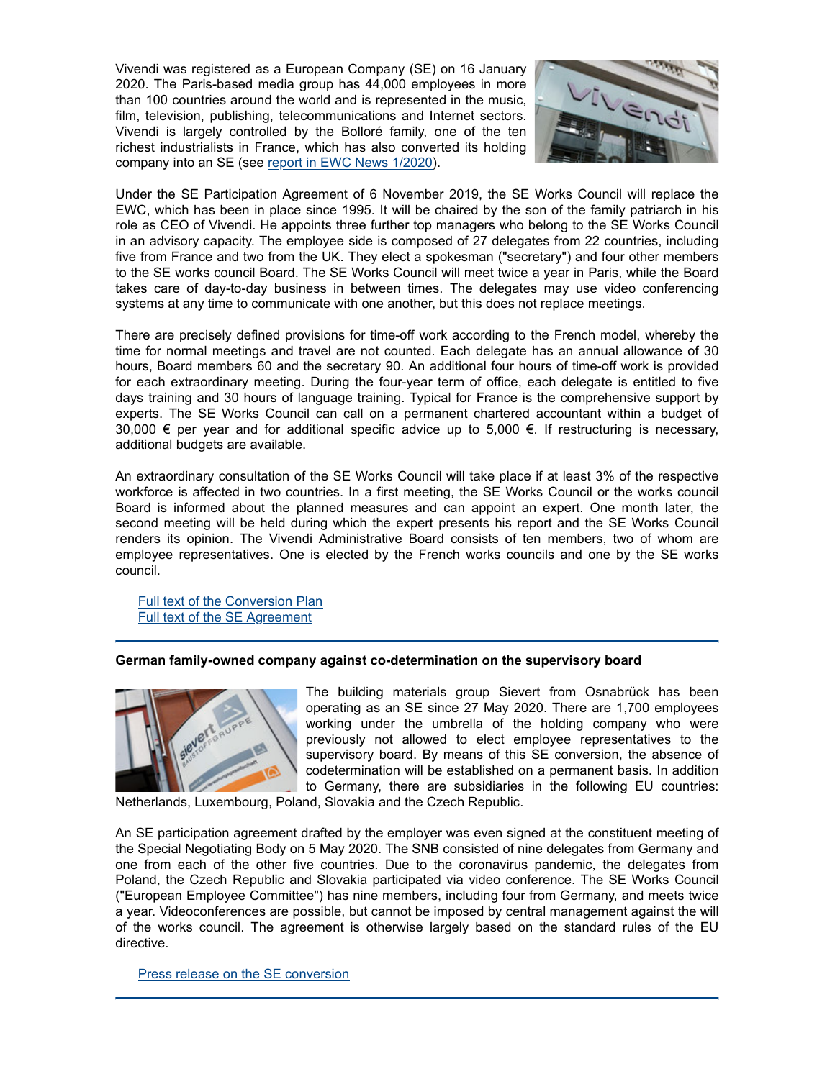Vivendi was registered as a European Company (SE) on 16 January 2020. The Paris-based media group has 44,000 employees in more than 100 countries around the world and is represented in the music, film, television, publishing, telecommunications and Internet sectors. Vivendi is largely controlled by the Bolloré family, one of the ten richest industrialists in France, which has also converted its holding company into an SE (see report in EWC News 1/2020).



Under the SE Participation Agreement of 6 November 2019, the SE Works Council will replace the EWC, which has been in place since 1995. It will be chaired by the son of the family patriarch in his role as CEO of Vivendi. He appoints three further top managers who belong to the SE Works Council in an advisory capacity. The employee side is composed of 27 delegates from 22 countries, including five from France and two from the UK. They elect a spokesman ("secretary") and four other members to the SE works council Board. The SE Works Council will meet twice a year in Paris, while the Board takes care of day-to-day business in between times. The delegates may use video conferencing systems at any time to communicate with one another, but this does not replace meetings.

There are precisely defined provisions for time-off work according to the French model, whereby the time for normal meetings and travel are not counted. Each delegate has an annual allowance of 30 hours, Board members 60 and the secretary 90. An additional four hours of time-off work is provided for each extraordinary meeting. During the four-year term of office, each delegate is entitled to five days training and 30 hours of language training. Typical for France is the comprehensive support by experts. The SE Works Council can call on a permanent chartered accountant within a budget of 30,000  $∈$  per year and for additional specific advice up to 5,000  $∈$ . If restructuring is necessary, additional budgets are available.

An extraordinary consultation of the SE Works Council will take place if at least 3% of the respective workforce is affected in two countries. In a first meeting, the SE Works Council or the works council Board is informed about the planned measures and can appoint an expert. One month later, the second meeting will be held during which the expert presents his report and the SE Works Council renders its opinion. The Vivendi Administrative Board consists of ten members, two of whom are employee representatives. One is elected by the French works councils and one by the SE works council.

Full text of the Conversion Plan Full text of the SE Agreement

## **German family-owned company against co-determination on the supervisory board**



The building materials group Sievert from Osnabrück has been operating as an SE since 27 May 2020. There are 1,700 employees working under the umbrella of the holding company who were previously not allowed to elect employee representatives to the supervisory board. By means of this SE conversion, the absence of codetermination will be established on a permanent basis. In addition to Germany, there are subsidiaries in the following EU countries:

Netherlands, Luxembourg, Poland, Slovakia and the Czech Republic.

An SE participation agreement drafted by the employer was even signed at the constituent meeting of the Special Negotiating Body on 5 May 2020. The SNB consisted of nine delegates from Germany and one from each of the other five countries. Due to the coronavirus pandemic, the delegates from Poland, the Czech Republic and Slovakia participated via video conference. The SE Works Council ("European Employee Committee") has nine members, including four from Germany, and meets twice a year. Videoconferences are possible, but cannot be imposed by central management against the will of the works council. The agreement is otherwise largely based on the standard rules of the EU directive.

Press release on the SE conversion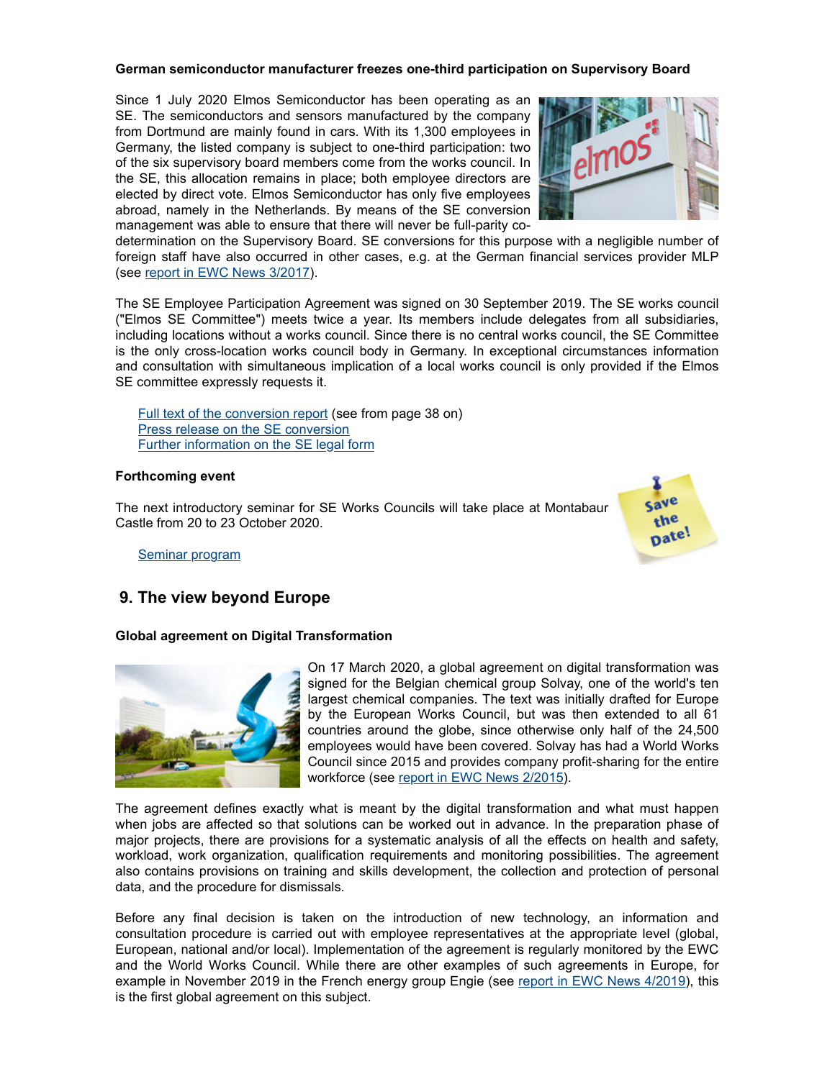## **German semiconductor manufacturer freezes one-third participation on Supervisory Board**

Since 1 July 2020 Elmos Semiconductor has been operating as an SE. The semiconductors and sensors manufactured by the company from Dortmund are mainly found in cars. With its 1,300 employees in Germany, the listed company is subject to one-third participation: two of the six supervisory board members come from the works council. In the SE, this allocation remains in place; both employee directors are elected by direct vote. Elmos Semiconductor has only five employees abroad, namely in the Netherlands. By means of the SE conversion management was able to ensure that there will never be full-parity co-



determination on the Supervisory Board. SE conversions for this purpose with a negligible number of foreign staff have also occurred in other cases, e.g. at the German financial services provider MLP (see report in EWC News 3/2017).

The SE Employee Participation Agreement was signed on 30 September 2019. The SE works council ("Elmos SE Committee") meets twice a year. Its members include delegates from all subsidiaries, including locations without a works council. Since there is no central works council, the SE Committee is the only cross-location works council body in Germany. In exceptional circumstances information and consultation with simultaneous implication of a local works council is only provided if the Elmos SE committee expressly requests it.

Full text of the conversion report (see from page 38 on) Press release on the SE conversion Further information on the SE legal form

## **Forthcoming event**

The next introductory seminar for SE Works Councils will take place at Montabaur Castle from 20 to 23 October 2020.



Seminar program

# **9. The view beyond Europe**

## **Global agreement on Digital Transformation**



On 17 March 2020, a global agreement on digital transformation was signed for the Belgian chemical group Solvay, one of the world's ten largest chemical companies. The text was initially drafted for Europe by the European Works Council, but was then extended to all 61 countries around the globe, since otherwise only half of the 24,500 employees would have been covered. Solvay has had a World Works Council since 2015 and provides company profit-sharing for the entire workforce (see report in EWC News 2/2015).

The agreement defines exactly what is meant by the digital transformation and what must happen when jobs are affected so that solutions can be worked out in advance. In the preparation phase of major projects, there are provisions for a systematic analysis of all the effects on health and safety, workload, work organization, qualification requirements and monitoring possibilities. The agreement also contains provisions on training and skills development, the collection and protection of personal data, and the procedure for dismissals.

Before any final decision is taken on the introduction of new technology, an information and consultation procedure is carried out with employee representatives at the appropriate level (global, European, national and/or local). Implementation of the agreement is regularly monitored by the EWC and the World Works Council. While there are other examples of such agreements in Europe, for example in November 2019 in the French energy group Engie (see report in EWC News 4/2019), this is the first global agreement on this subject.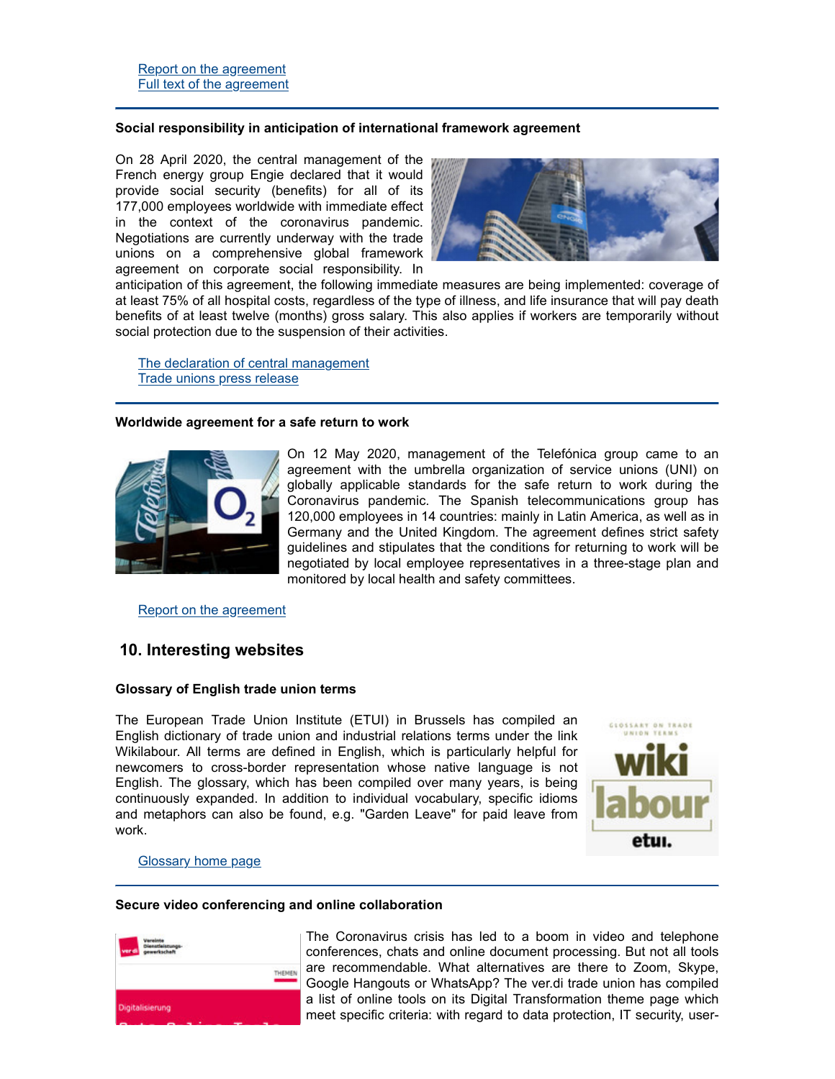## **Social responsibility in anticipation of international framework agreement**

On 28 April 2020, the central management of the French energy group Engie declared that it would provide social security (benefits) for all of its 177,000 employees worldwide with immediate effect in the context of the coronavirus pandemic. Negotiations are currently underway with the trade unions on a comprehensive global framework agreement on corporate social responsibility. In



anticipation of this agreement, the following immediate measures are being implemented: coverage of at least 75% of all hospital costs, regardless of the type of illness, and life insurance that will pay death benefits of at least twelve (months) gross salary. This also applies if workers are temporarily without social protection due to the suspension of their activities.

The declaration of central management Trade unions press release

### **Worldwide agreement for a safe return to work**



On 12 May 2020, management of the Telefónica group came to an agreement with the umbrella organization of service unions (UNI) on globally applicable standards for the safe return to work during the Coronavirus pandemic. The Spanish telecommunications group has 120,000 employees in 14 countries: mainly in Latin America, as well as in Germany and the United Kingdom. The agreement defines strict safety guidelines and stipulates that the conditions for returning to work will be negotiated by local employee representatives in a three-stage plan and monitored by local health and safety committees.

## Report on the agreement

## **10. Interesting websites**

### **Glossary of English trade union terms**

The European Trade Union Institute (ETUI) in Brussels has compiled an English dictionary of trade union and industrial relations terms under the link Wikilabour. All terms are defined in English, which is particularly helpful for newcomers to cross-border representation whose native language is not English. The glossary, which has been compiled over many years, is being continuously expanded. In addition to individual vocabulary, specific idioms and metaphors can also be found, e.g. "Garden Leave" for paid leave from work.



### Glossary home page

#### **Secure video conferencing and online collaboration**



The Coronavirus crisis has led to a boom in video and telephone conferences, chats and online document processing. But not all tools are recommendable. What alternatives are there to Zoom, Skype, Google Hangouts or WhatsApp? The ver.di trade union has compiled a list of online tools on its Digital Transformation theme page which meet specific criteria: with regard to data protection, IT security, user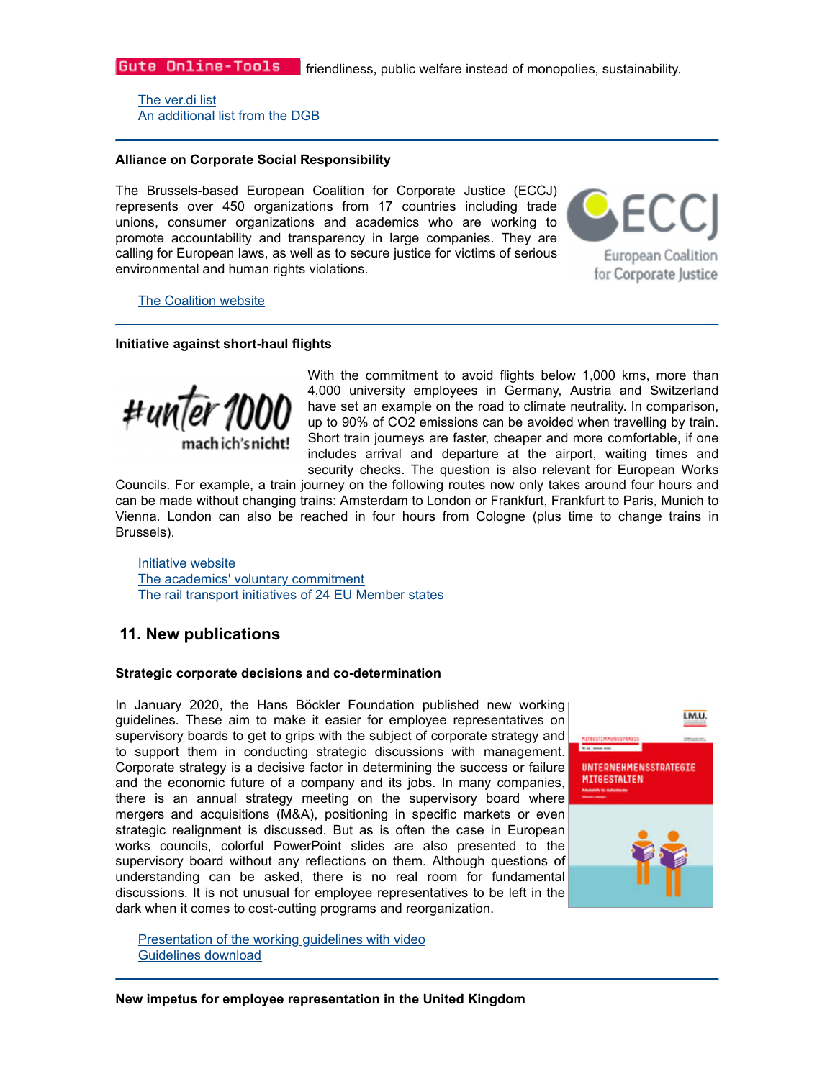The ver.di list An additional list from the DGB

## **Alliance on Corporate Social Responsibility**

The Brussels-based European Coalition for Corporate Justice (ECCJ) represents over 450 organizations from 17 countries including trade unions, consumer organizations and academics who are working to promote accountability and transparency in large companies. They are calling for European laws, as well as to secure justice for victims of serious environmental and human rights violations.

**European Coalition** for Corporate Justice

The Coalition website

## **Initiative against short-haul flights**



With the commitment to avoid flights below 1,000 kms, more than 4,000 university employees in Germany, Austria and Switzerland have set an example on the road to climate neutrality. In comparison, up to 90% of CO2 emissions can be avoided when travelling by train. Short train journeys are faster, cheaper and more comfortable, if one includes arrival and departure at the airport, waiting times and security checks. The question is also relevant for European Works

Councils. For example, a train journey on the following routes now only takes around four hours and can be made without changing trains: Amsterdam to London or Frankfurt, Frankfurt to Paris, Munich to Vienna. London can also be reached in four hours from Cologne (plus time to change trains in Brussels).

Initiative website The academics' voluntary commitment The rail transport initiatives of 24 EU Member states

# **11. New publications**

### **Strategic corporate decisions and co-determination**

In January 2020, the Hans Böckler Foundation published new working guidelines. These aim to make it easier for employee representatives on supervisory boards to get to grips with the subject of corporate strategy and to support them in conducting strategic discussions with management. Corporate strategy is a decisive factor in determining the success or failure and the economic future of a company and its jobs. In many companies, there is an annual strategy meeting on the supervisory board where mergers and acquisitions (M&A), positioning in specific markets or even strategic realignment is discussed. But as is often the case in European works councils, colorful PowerPoint slides are also presented to the supervisory board without any reflections on them. Although questions of understanding can be asked, there is no real room for fundamental discussions. It is not unusual for employee representatives to be left in the dark when it comes to cost-cutting programs and reorganization.



Presentation of the working guidelines with video Guidelines download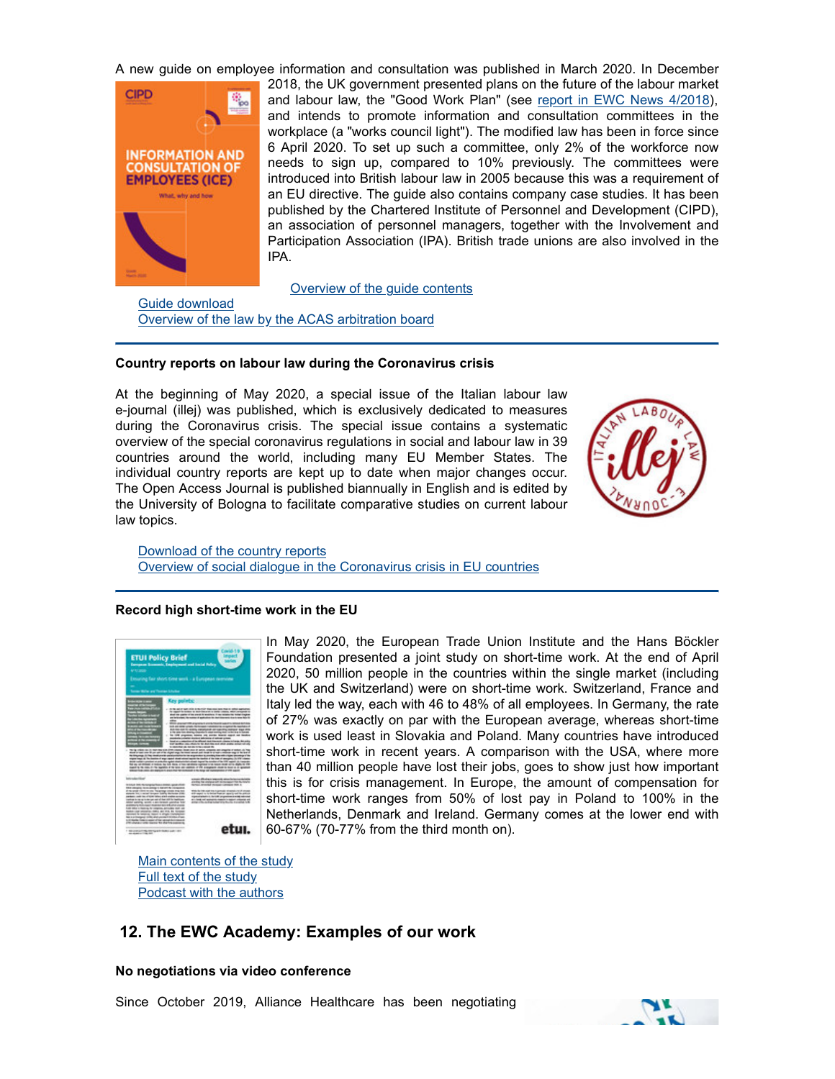A new guide on employee information and consultation was published in March 2020. In December



2018, the UK government presented plans on the future of the labour market and labour law, the "Good Work Plan" (see report in EWC News 4/2018), and intends to promote information and consultation committees in the workplace (a "works council light"). The modified law has been in force since 6 April 2020. To set up such a committee, only 2% of the workforce now needs to sign up, compared to 10% previously. The committees were introduced into British labour law in 2005 because this was a requirement of an EU directive. The guide also contains company case studies. It has been published by the Chartered Institute of Personnel and Development (CIPD), an association of personnel managers, together with the Involvement and Participation Association (IPA). British trade unions are also involved in the IPA.

Overview of the guide contents

Guide download Overview of the law by the ACAS arbitration board

### **Country reports on labour law during the Coronavirus crisis**

At the beginning of May 2020, a special issue of the Italian labour law e-journal (illej) was published, which is exclusively dedicated to measures during the Coronavirus crisis. The special issue contains a systematic overview of the special coronavirus regulations in social and labour law in 39 countries around the world, including many EU Member States. The individual country reports are kept up to date when major changes occur. The Open Access Journal is published biannually in English and is edited by the University of Bologna to facilitate comparative studies on current labour law topics.



Download of the country reports Overview of social dialogue in the Coronavirus crisis in EU countries

### **Record high short-time work in the EU**



In May 2020, the European Trade Union Institute and the Hans Böckler Foundation presented a joint study on short-time work. At the end of April 2020, 50 million people in the countries within the single market (including the UK and Switzerland) were on short-time work. Switzerland, France and Italy led the way, each with 46 to 48% of all employees. In Germany, the rate of 27% was exactly on par with the European average, whereas short-time work is used least in Slovakia and Poland. Many countries have introduced short-time work in recent years. A comparison with the USA, where more than 40 million people have lost their jobs, goes to show just how important this is for crisis management. In Europe, the amount of compensation for short-time work ranges from 50% of lost pay in Poland to 100% in the Netherlands, Denmark and Ireland. Germany comes at the lower end with etul. 60-67% (70-77% from the third month on).

Main contents of the study Full text of the study Podcast with the authors

# **12. The EWC Academy: Examples of our work**

### **No negotiations via video conference**

Since October 2019, Alliance Healthcare has been negotiating

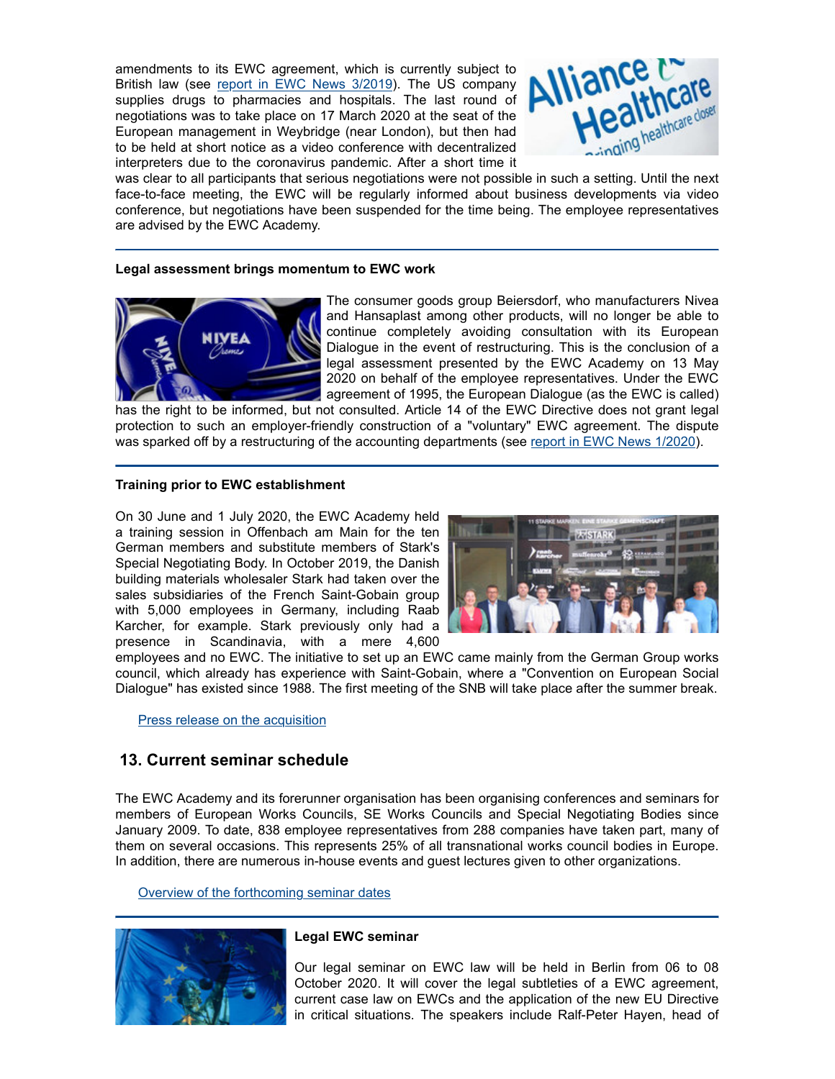amendments to its EWC agreement, which is currently subject to British law (see report in EWC News 3/2019). The US company supplies drugs to pharmacies and hospitals. The last round of negotiations was to take place on 17 March 2020 at the seat of the European management in Weybridge (near London), but then had to be held at short notice as a video conference with decentralized interpreters due to the coronavirus pandemic. After a short time it



was clear to all participants that serious negotiations were not possible in such a setting. Until the next face-to-face meeting, the EWC will be regularly informed about business developments via video conference, but negotiations have been suspended for the time being. The employee representatives are advised by the EWC Academy.

## **Legal assessment brings momentum to EWC work**



The consumer goods group Beiersdorf, who manufacturers Nivea and Hansaplast among other products, will no longer be able to continue completely avoiding consultation with its European Dialogue in the event of restructuring. This is the conclusion of a legal assessment presented by the EWC Academy on 13 May 2020 on behalf of the employee representatives. Under the EWC agreement of 1995, the European Dialogue (as the EWC is called)

has the right to be informed, but not consulted. Article 14 of the EWC Directive does not grant legal protection to such an employer-friendly construction of a "voluntary" EWC agreement. The dispute was sparked off by a restructuring of the accounting departments (see report in EWC News 1/2020).

## **Training prior to EWC establishment**

On 30 June and 1 July 2020, the EWC Academy held a training session in Offenbach am Main for the ten German members and substitute members of Stark's Special Negotiating Body. In October 2019, the Danish building materials wholesaler Stark had taken over the sales subsidiaries of the French Saint-Gobain group with 5,000 employees in Germany, including Raab Karcher, for example. Stark previously only had a presence in Scandinavia, with a mere 4,600



employees and no EWC. The initiative to set up an EWC came mainly from the German Group works council, which already has experience with Saint-Gobain, where a "Convention on European Social Dialogue" has existed since 1988. The first meeting of the SNB will take place after the summer break.

Press release on the acquisition

## **13. Current seminar schedule**

The EWC Academy and its forerunner organisation has been organising conferences and seminars for members of European Works Councils, SE Works Councils and Special Negotiating Bodies since January 2009. To date, 838 employee representatives from 288 companies have taken part, many of them on several occasions. This represents 25% of all transnational works council bodies in Europe. In addition, there are numerous in-house events and guest lectures given to other organizations.

Overview of the forthcoming seminar dates



## **Legal EWC seminar**

Our legal seminar on EWC law will be held in Berlin from 06 to 08 October 2020. It will cover the legal subtleties of a EWC agreement, current case law on EWCs and the application of the new EU Directive in critical situations. The speakers include Ralf-Peter Hayen, head of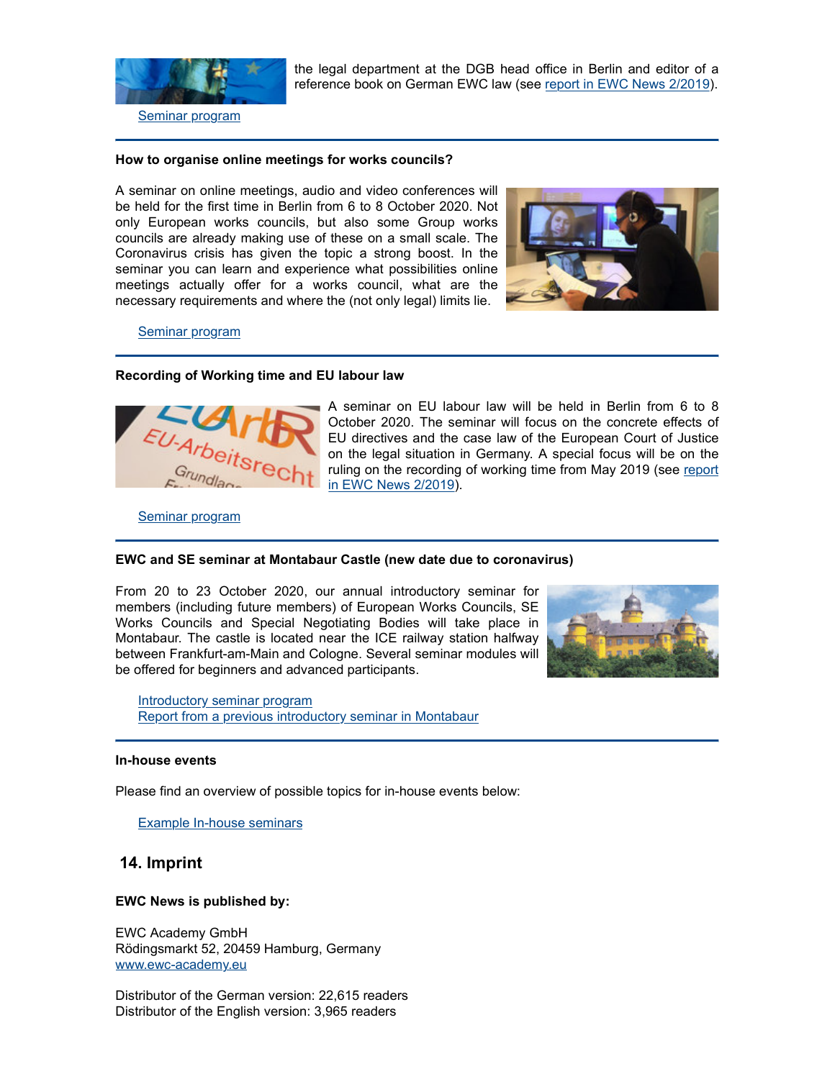

the legal department at the DGB head office in Berlin and editor of a reference book on German EWC law (see report in EWC News 2/2019).

## **How to organise online meetings for works councils?**

A seminar on online meetings, audio and video conferences will be held for the first time in Berlin from 6 to 8 October 2020. Not only European works councils, but also some Group works councils are already making use of these on a small scale. The Coronavirus crisis has given the topic a strong boost. In the seminar you can learn and experience what possibilities online meetings actually offer for a works council, what are the necessary requirements and where the (not only legal) limits lie.



Seminar program

### **Recording of Working time and EU labour law**



A seminar on EU labour law will be held in Berlin from 6 to 8 October 2020. The seminar will focus on the concrete effects of EU directives and the case law of the European Court of Justice on the legal situation in Germany. A special focus will be on the ruling on the recording of working time from May 2019 (see report in EWC News 2/2019).

Seminar program

### **EWC and SE seminar at Montabaur Castle (new date due to coronavirus)**

From 20 to 23 October 2020, our annual introductory seminar for members (including future members) of European Works Councils, SE Works Councils and Special Negotiating Bodies will take place in Montabaur. The castle is located near the ICE railway station halfway between Frankfurt-am-Main and Cologne. Several seminar modules will be offered for beginners and advanced participants.



Introductory seminar program Report from a previous introductory seminar in Montabaur

#### **In-house events**

Please find an overview of possible topics for in-house events below:

Example In-house seminars

## **14. Imprint**

### **EWC News is published by:**

EWC Academy GmbH Rödingsmarkt 52, 20459 Hamburg, Germany www.ewc-academy.eu

Distributor of the German version: 22,615 readers Distributor of the English version: 3,965 readers